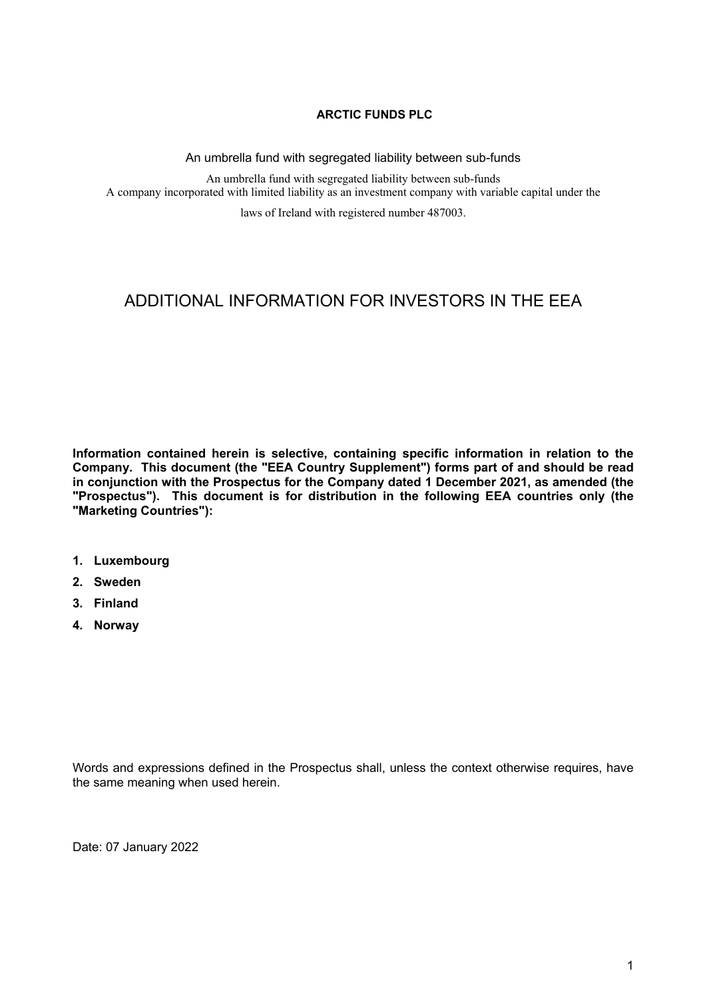## **ARCTIC FUNDS PLC**

An umbrella fund with segregated liability between sub-funds

An umbrella fund with segregated liability between sub-funds A company incorporated with limited liability as an investment company with variable capital under the

laws of Ireland with registered number 487003.

# ADDITIONAL INFORMATION FOR INVESTORS IN THE EEA

**Information contained herein is selective, containing specific information in relation to the Company. This document (the "EEA Country Supplement") forms part of and should be read in conjunction with the Prospectus for the Company dated 1 December 2021, as amended (the "Prospectus"). This document is for distribution in the following EEA countries only (the "Marketing Countries"):**

- **1. Luxembourg**
- **2. Sweden**
- **3. Finland**
- **4. Norway**

Words and expressions defined in the Prospectus shall, unless the context otherwise requires, have the same meaning when used herein.

Date: 07 January 2022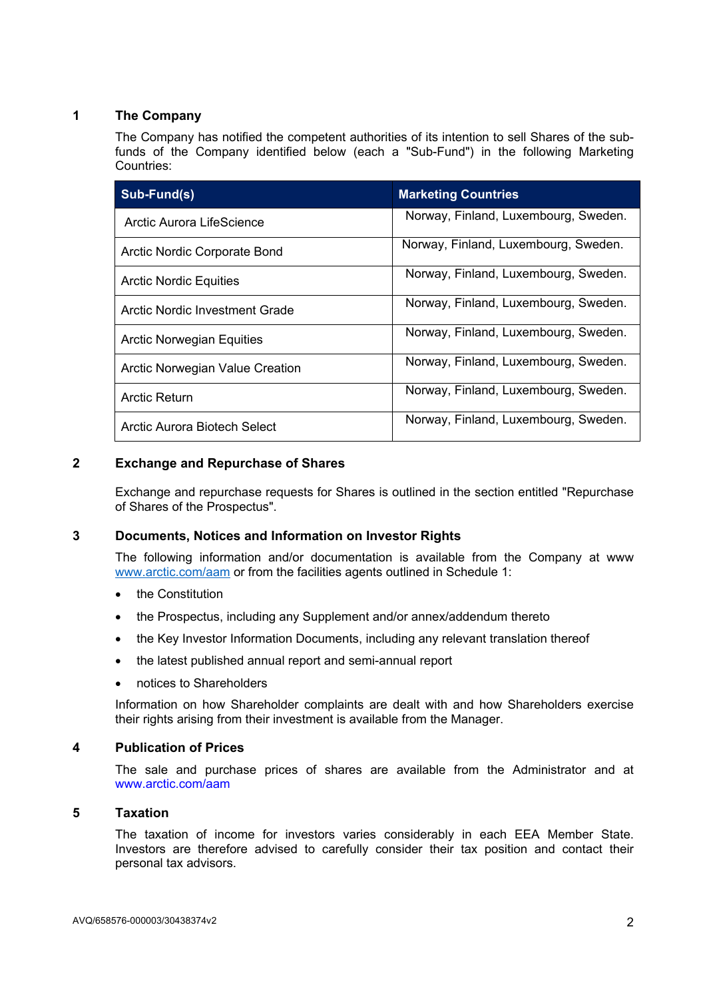# **1 The Company**

The Company has notified the competent authorities of its intention to sell Shares of the subfunds of the Company identified below (each a "Sub-Fund") in the following Marketing Countries:

| Sub-Fund(s)                            | <b>Marketing Countries</b>           |
|----------------------------------------|--------------------------------------|
| Arctic Aurora LifeScience              | Norway, Finland, Luxembourg, Sweden. |
| Arctic Nordic Corporate Bond           | Norway, Finland, Luxembourg, Sweden. |
| <b>Arctic Nordic Equities</b>          | Norway, Finland, Luxembourg, Sweden. |
| Arctic Nordic Investment Grade         | Norway, Finland, Luxembourg, Sweden. |
| <b>Arctic Norwegian Equities</b>       | Norway, Finland, Luxembourg, Sweden. |
| <b>Arctic Norwegian Value Creation</b> | Norway, Finland, Luxembourg, Sweden. |
| Arctic Return                          | Norway, Finland, Luxembourg, Sweden. |
| Arctic Aurora Biotech Select           | Norway, Finland, Luxembourg, Sweden. |

# **2 Exchange and Repurchase of Shares**

Exchange and repurchase requests for Shares is outlined in the section entitled "Repurchase of Shares of the Prospectus".

#### **3 Documents, Notices and Information on Investor Rights**

The following information and/or documentation is available from the Company at www [www.arctic.com/aam](http://www.arctic.com/aam) or from the facilities agents outlined in Schedule 1:

- the Constitution
- the Prospectus, including any Supplement and/or annex/addendum thereto
- the Key Investor Information Documents, including any relevant translation thereof
- the latest published annual report and semi-annual report
- notices to Shareholders

Information on how Shareholder complaints are dealt with and how Shareholders exercise their rights arising from their investment is available from the Manager.

#### **4 Publication of Prices**

The sale and purchase prices of shares are available from the Administrator and at www.arctic.com/aam

#### **5 Taxation**

The taxation of income for investors varies considerably in each EEA Member State. Investors are therefore advised to carefully consider their tax position and contact their personal tax advisors.